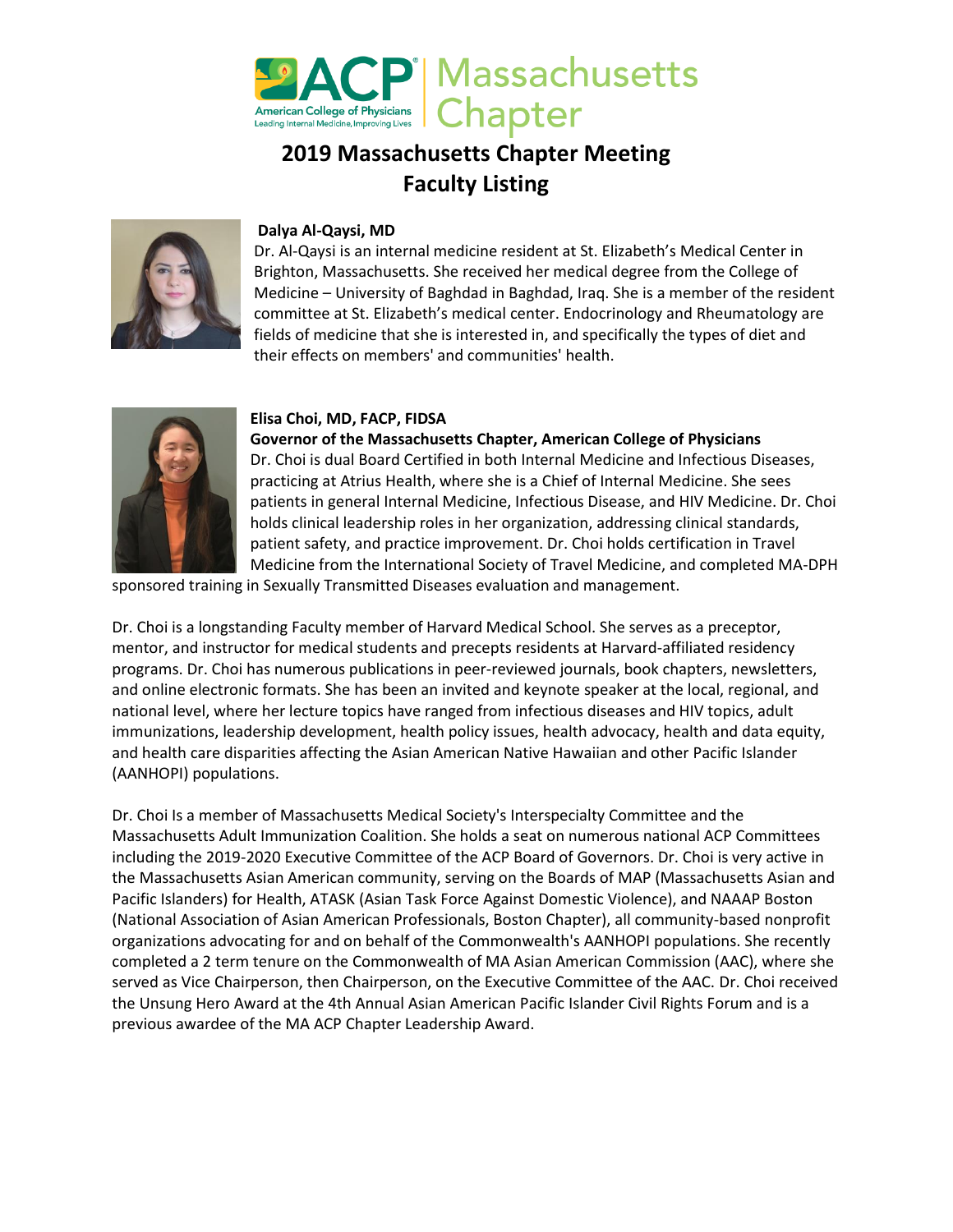

# **2019 Massachusetts Chapter Meeting Faculty Listing**



# **Dalya Al-Qaysi, MD**

Dr. Al-Qaysi is an internal medicine resident at St. Elizabeth's Medical Center in Brighton, Massachusetts. She received her medical degree from the College of Medicine – University of Baghdad in Baghdad, Iraq. She is a member of the resident committee at St. Elizabeth's medical center. Endocrinology and Rheumatology are fields of medicine that she is interested in, and specifically the types of diet and their effects on members' and communities' health.



# **Elisa Choi, MD, FACP, FIDSA**

**Governor of the Massachusetts Chapter, American College of Physicians** Dr. Choi is dual Board Certified in both Internal Medicine and Infectious Diseases, practicing at Atrius Health, where she is a Chief of Internal Medicine. She sees patients in general Internal Medicine, Infectious Disease, and HIV Medicine. Dr. Choi holds clinical leadership roles in her organization, addressing clinical standards, patient safety, and practice improvement. Dr. Choi holds certification in Travel Medicine from the International Society of Travel Medicine, and completed MA-DPH

sponsored training in Sexually Transmitted Diseases evaluation and management.

Dr. Choi is a longstanding Faculty member of Harvard Medical School. She serves as a preceptor, mentor, and instructor for medical students and precepts residents at Harvard-affiliated residency programs. Dr. Choi has numerous publications in peer-reviewed journals, book chapters, newsletters, and online electronic formats. She has been an invited and keynote speaker at the local, regional, and national level, where her lecture topics have ranged from infectious diseases and HIV topics, adult immunizations, leadership development, health policy issues, health advocacy, health and data equity, and health care disparities affecting the Asian American Native Hawaiian and other Pacific Islander (AANHOPI) populations.

Dr. Choi Is a member of Massachusetts Medical Society's Interspecialty Committee and the Massachusetts Adult Immunization Coalition. She holds a seat on numerous national ACP Committees including the 2019-2020 Executive Committee of the ACP Board of Governors. Dr. Choi is very active in the Massachusetts Asian American community, serving on the Boards of MAP (Massachusetts Asian and Pacific Islanders) for Health, ATASK (Asian Task Force Against Domestic Violence), and NAAAP Boston (National Association of Asian American Professionals, Boston Chapter), all community-based nonprofit organizations advocating for and on behalf of the Commonwealth's AANHOPI populations. She recently completed a 2 term tenure on the Commonwealth of MA Asian American Commission (AAC), where she served as Vice Chairperson, then Chairperson, on the Executive Committee of the AAC. Dr. Choi received the Unsung Hero Award at the 4th Annual Asian American Pacific Islander Civil Rights Forum and is a previous awardee of the MA ACP Chapter Leadership Award.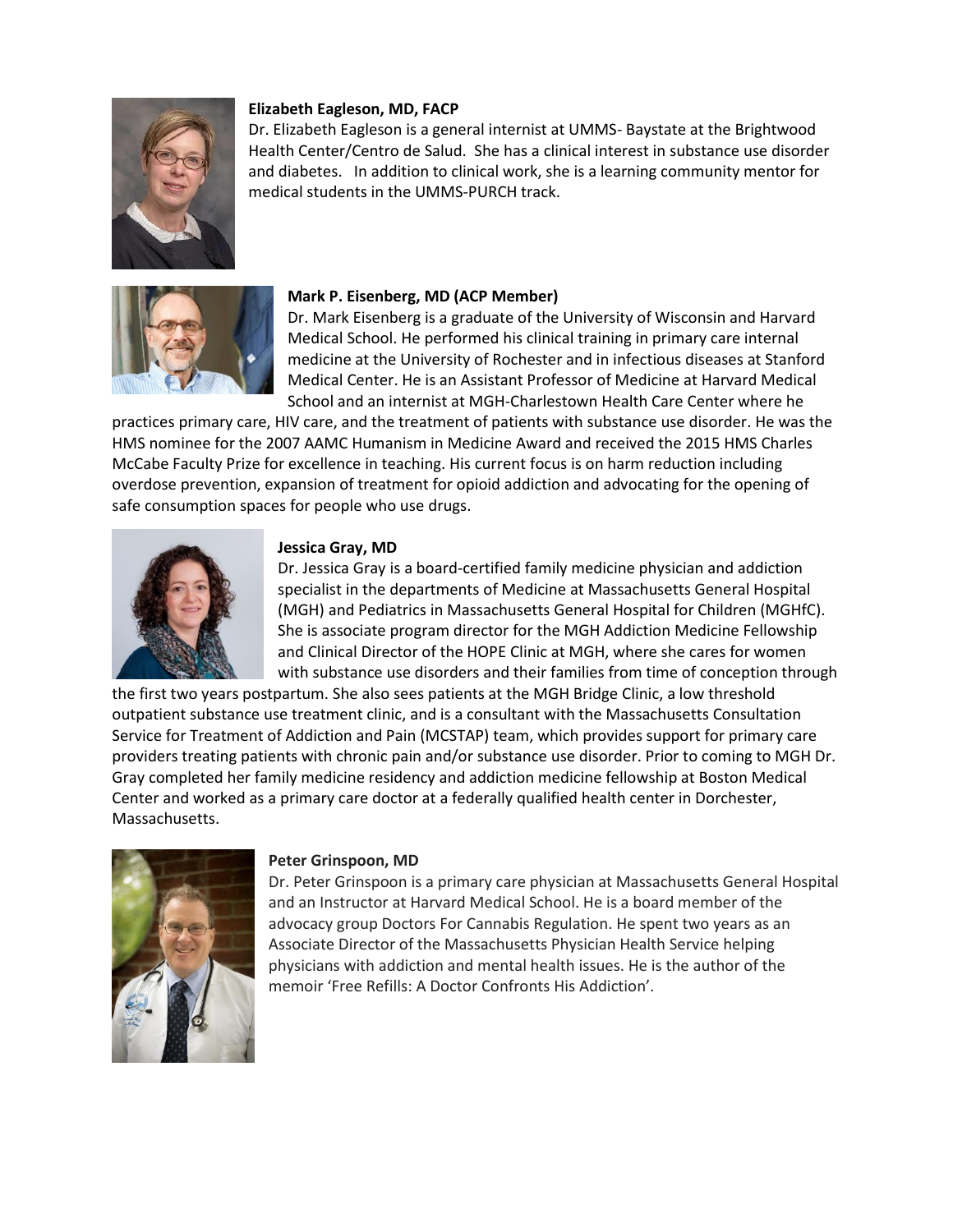

## **Elizabeth Eagleson, MD, FACP**

Dr. Elizabeth Eagleson is a general internist at UMMS- Baystate at the Brightwood Health Center/Centro de Salud. She has a clinical interest in substance use disorder and diabetes. In addition to clinical work, she is a learning community mentor for medical students in the UMMS-PURCH track.



#### **Mark P. Eisenberg, MD (ACP Member)**

Dr. Mark Eisenberg is a graduate of the University of Wisconsin and Harvard Medical School. He performed his clinical training in primary care internal medicine at the University of Rochester and in infectious diseases at Stanford Medical Center. He is an Assistant Professor of Medicine at Harvard Medical School and an internist at MGH-Charlestown Health Care Center where he

practices primary care, HIV care, and the treatment of patients with substance use disorder. He was the HMS nominee for the 2007 AAMC Humanism in Medicine Award and received the 2015 HMS Charles McCabe Faculty Prize for excellence in teaching. His current focus is on harm reduction including overdose prevention, expansion of treatment for opioid addiction and advocating for the opening of safe consumption spaces for people who use drugs.



#### **Jessica Gray, MD**

Dr. Jessica Gray is a board-certified family medicine physician and addiction specialist in the departments of Medicine at Massachusetts General Hospital (MGH) and Pediatrics in Massachusetts General Hospital for Children (MGHfC). She is associate program director for the MGH Addiction Medicine Fellowship and Clinical Director of the HOPE Clinic at MGH, where she cares for women with substance use disorders and their families from time of conception through

the first two years postpartum. She also sees patients at the MGH Bridge Clinic, a low threshold outpatient substance use treatment clinic, and is a consultant with the Massachusetts Consultation Service for Treatment of Addiction and Pain (MCSTAP) team, which provides support for primary care providers treating patients with chronic pain and/or substance use disorder. Prior to coming to MGH Dr. Gray completed her family medicine residency and addiction medicine fellowship at Boston Medical Center and worked as a primary care doctor at a federally qualified health center in Dorchester, Massachusetts.



#### **Peter Grinspoon, MD**

Dr. Peter Grinspoon is a primary care physician at Massachusetts General Hospital and an Instructor at Harvard Medical School. He is a board member of the advocacy group Doctors For Cannabis Regulation. He spent two years as an Associate Director of the Massachusetts Physician Health Service helping physicians with addiction and mental health issues. He is the author of the memoir 'Free Refills: A Doctor Confronts His Addiction'.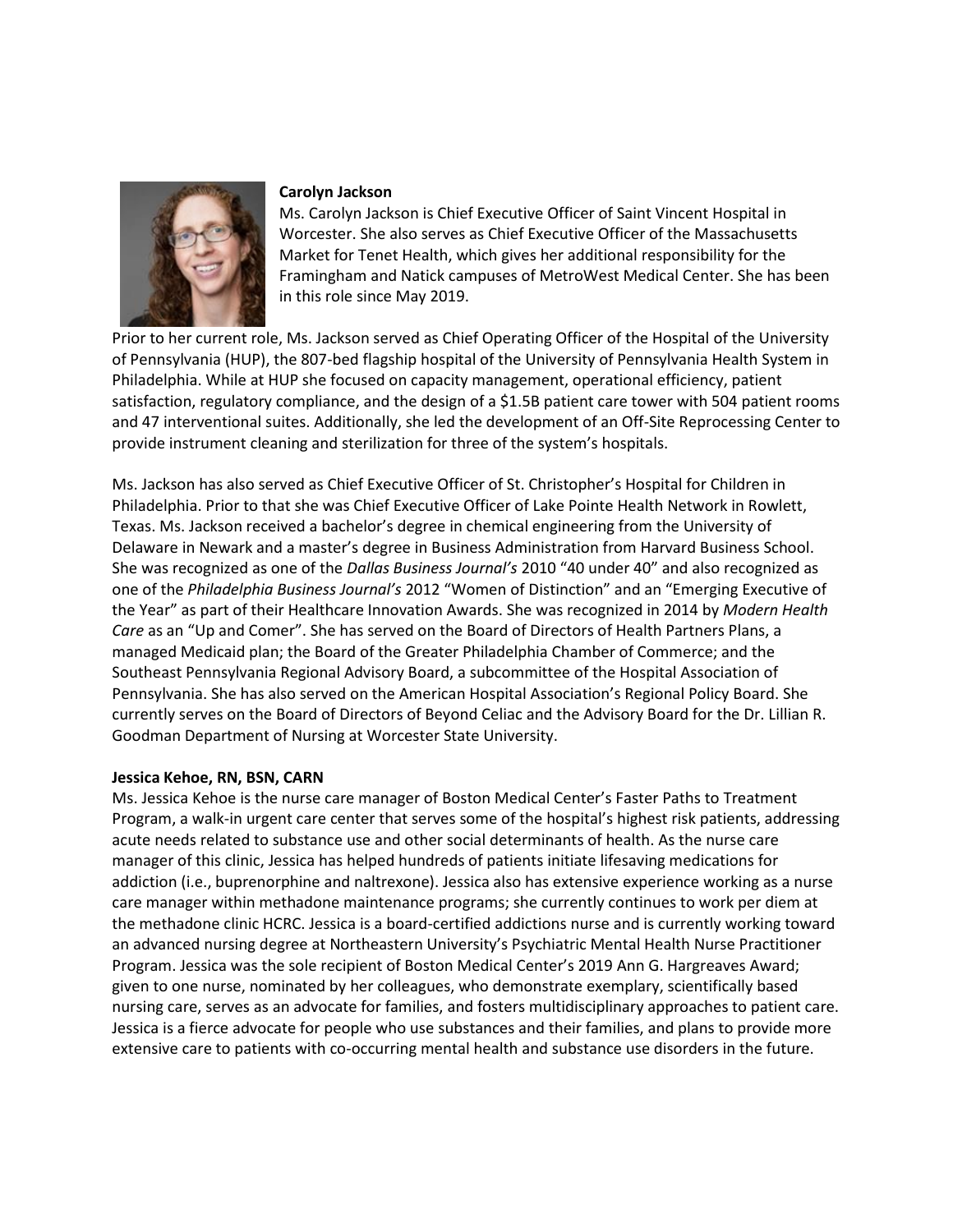

# **Carolyn Jackson**

Ms. Carolyn Jackson is Chief Executive Officer of Saint Vincent Hospital in Worcester. She also serves as Chief Executive Officer of the Massachusetts Market for Tenet Health, which gives her additional responsibility for the Framingham and Natick campuses of MetroWest Medical Center. She has been in this role since May 2019.

Prior to her current role, Ms. Jackson served as Chief Operating Officer of the Hospital of the University of Pennsylvania (HUP), the 807-bed flagship hospital of the University of Pennsylvania Health System in Philadelphia. While at HUP she focused on capacity management, operational efficiency, patient satisfaction, regulatory compliance, and the design of a \$1.5B patient care tower with 504 patient rooms and 47 interventional suites. Additionally, she led the development of an Off-Site Reprocessing Center to provide instrument cleaning and sterilization for three of the system's hospitals.

Ms. Jackson has also served as Chief Executive Officer of St. Christopher's Hospital for Children in Philadelphia. Prior to that she was Chief Executive Officer of Lake Pointe Health Network in Rowlett, Texas. Ms. Jackson received a bachelor's degree in chemical engineering from the University of Delaware in Newark and a master's degree in Business Administration from Harvard Business School. She was recognized as one of the *Dallas Business Journal's* 2010 "40 under 40" and also recognized as one of the *Philadelphia Business Journal's* 2012 "Women of Distinction" and an "Emerging Executive of the Year" as part of their Healthcare Innovation Awards. She was recognized in 2014 by *Modern Health Care* as an "Up and Comer". She has served on the Board of Directors of Health Partners Plans, a managed Medicaid plan; the Board of the Greater Philadelphia Chamber of Commerce; and the Southeast Pennsylvania Regional Advisory Board, a subcommittee of the Hospital Association of Pennsylvania. She has also served on the American Hospital Association's Regional Policy Board. She currently serves on the Board of Directors of Beyond Celiac and the Advisory Board for the Dr. Lillian R. Goodman Department of Nursing at Worcester State University.

# **Jessica Kehoe, RN, BSN, CARN**

Ms. Jessica Kehoe is the nurse care manager of Boston Medical Center's Faster Paths to Treatment Program, a walk-in urgent care center that serves some of the hospital's highest risk patients, addressing acute needs related to substance use and other social determinants of health. As the nurse care manager of this clinic, Jessica has helped hundreds of patients initiate lifesaving medications for addiction (i.e., buprenorphine and naltrexone). Jessica also has extensive experience working as a nurse care manager within methadone maintenance programs; she currently continues to work per diem at the methadone clinic HCRC. Jessica is a board-certified addictions nurse and is currently working toward an advanced nursing degree at Northeastern University's Psychiatric Mental Health Nurse Practitioner Program. Jessica was the sole recipient of Boston Medical Center's 2019 Ann G. Hargreaves Award; given to one nurse, nominated by her colleagues, who demonstrate exemplary, scientifically based nursing care, serves as an advocate for families, and fosters multidisciplinary approaches to patient care. Jessica is a fierce advocate for people who use substances and their families, and plans to provide more extensive care to patients with co-occurring mental health and substance use disorders in the future.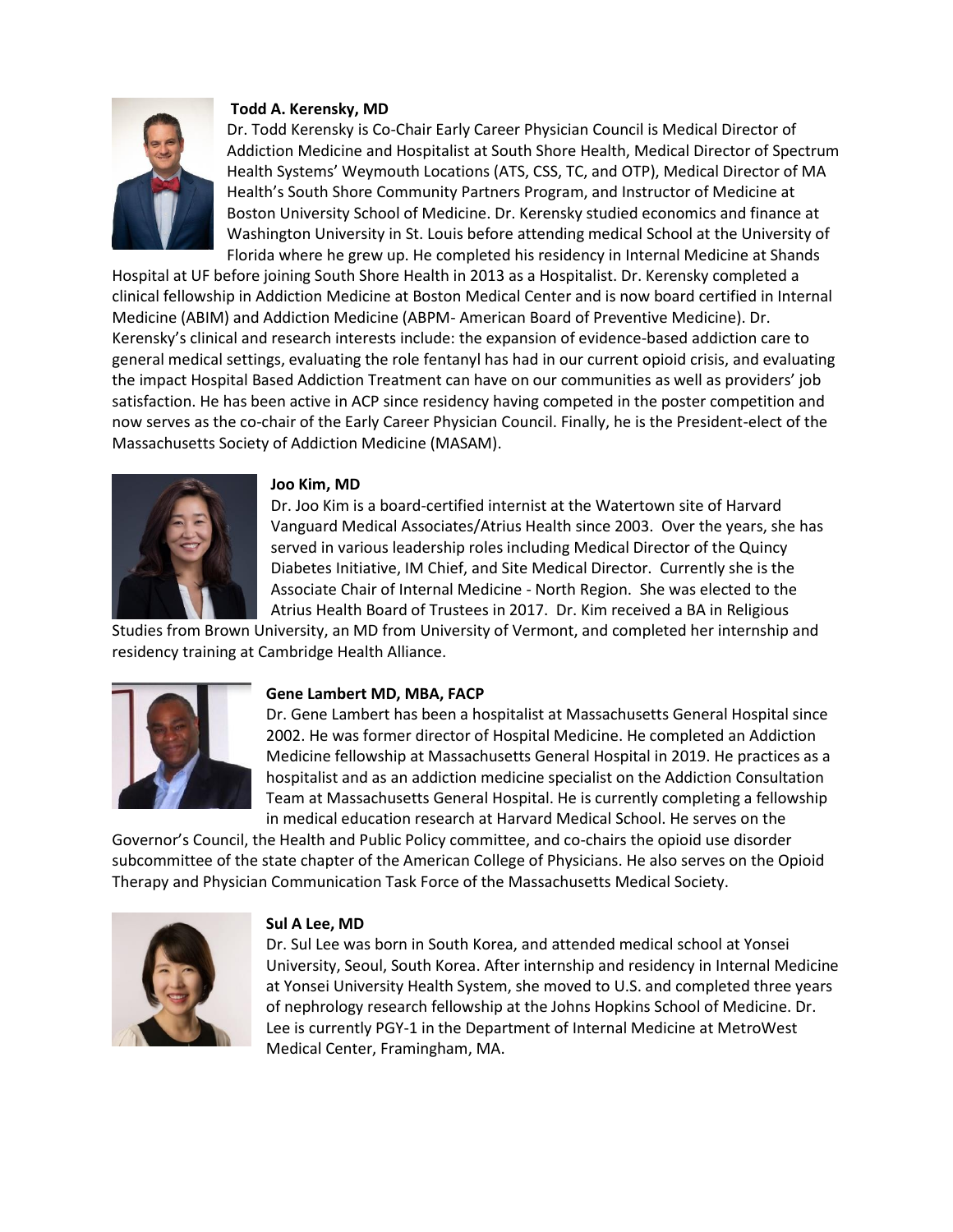

# **Todd A. Kerensky, MD**

Dr. Todd Kerensky is Co-Chair Early Career Physician Council is Medical Director of Addiction Medicine and Hospitalist at South Shore Health, Medical Director of Spectrum Health Systems' Weymouth Locations (ATS, CSS, TC, and OTP), Medical Director of MA Health's South Shore Community Partners Program, and Instructor of Medicine at Boston University School of Medicine. Dr. Kerensky studied economics and finance at Washington University in St. Louis before attending medical School at the University of Florida where he grew up. He completed his residency in Internal Medicine at Shands

Hospital at UF before joining South Shore Health in 2013 as a Hospitalist. Dr. Kerensky completed a clinical fellowship in Addiction Medicine at Boston Medical Center and is now board certified in Internal Medicine (ABIM) and Addiction Medicine (ABPM- American Board of Preventive Medicine). Dr. Kerensky's clinical and research interests include: the expansion of evidence-based addiction care to general medical settings, evaluating the role fentanyl has had in our current opioid crisis, and evaluating the impact Hospital Based Addiction Treatment can have on our communities as well as providers' job satisfaction. He has been active in ACP since residency having competed in the poster competition and now serves as the co-chair of the Early Career Physician Council. Finally, he is the President-elect of the Massachusetts Society of Addiction Medicine (MASAM).



## **Joo Kim, MD**

Dr. Joo Kim is a board-certified internist at the Watertown site of Harvard Vanguard Medical Associates/Atrius Health since 2003. Over the years, she has served in various leadership roles including Medical Director of the Quincy Diabetes Initiative, IM Chief, and Site Medical Director. Currently she is the Associate Chair of Internal Medicine - North Region. She was elected to the Atrius Health Board of Trustees in 2017. Dr. Kim received a BA in Religious

Studies from Brown University, an MD from University of Vermont, and completed her internship and residency training at Cambridge Health Alliance.



#### **Gene Lambert MD, MBA, FACP**

Dr. Gene Lambert has been a hospitalist at Massachusetts General Hospital since 2002. He was former director of Hospital Medicine. He completed an Addiction Medicine fellowship at Massachusetts General Hospital in 2019. He practices as a hospitalist and as an addiction medicine specialist on the Addiction Consultation Team at Massachusetts General Hospital. He is currently completing a fellowship in medical education research at Harvard Medical School. He serves on the

Governor's Council, the Health and Public Policy committee, and co-chairs the opioid use disorder subcommittee of the state chapter of the American College of Physicians. He also serves on the Opioid Therapy and Physician Communication Task Force of the Massachusetts Medical Society.



#### **Sul A Lee, MD**

Dr. Sul Lee was born in South Korea, and attended medical school at Yonsei University, Seoul, South Korea. After internship and residency in Internal Medicine at Yonsei University Health System, she moved to U.S. and completed three years of nephrology research fellowship at the Johns Hopkins School of Medicine. Dr. Lee is currently PGY-1 in the Department of Internal Medicine at MetroWest Medical Center, Framingham, MA.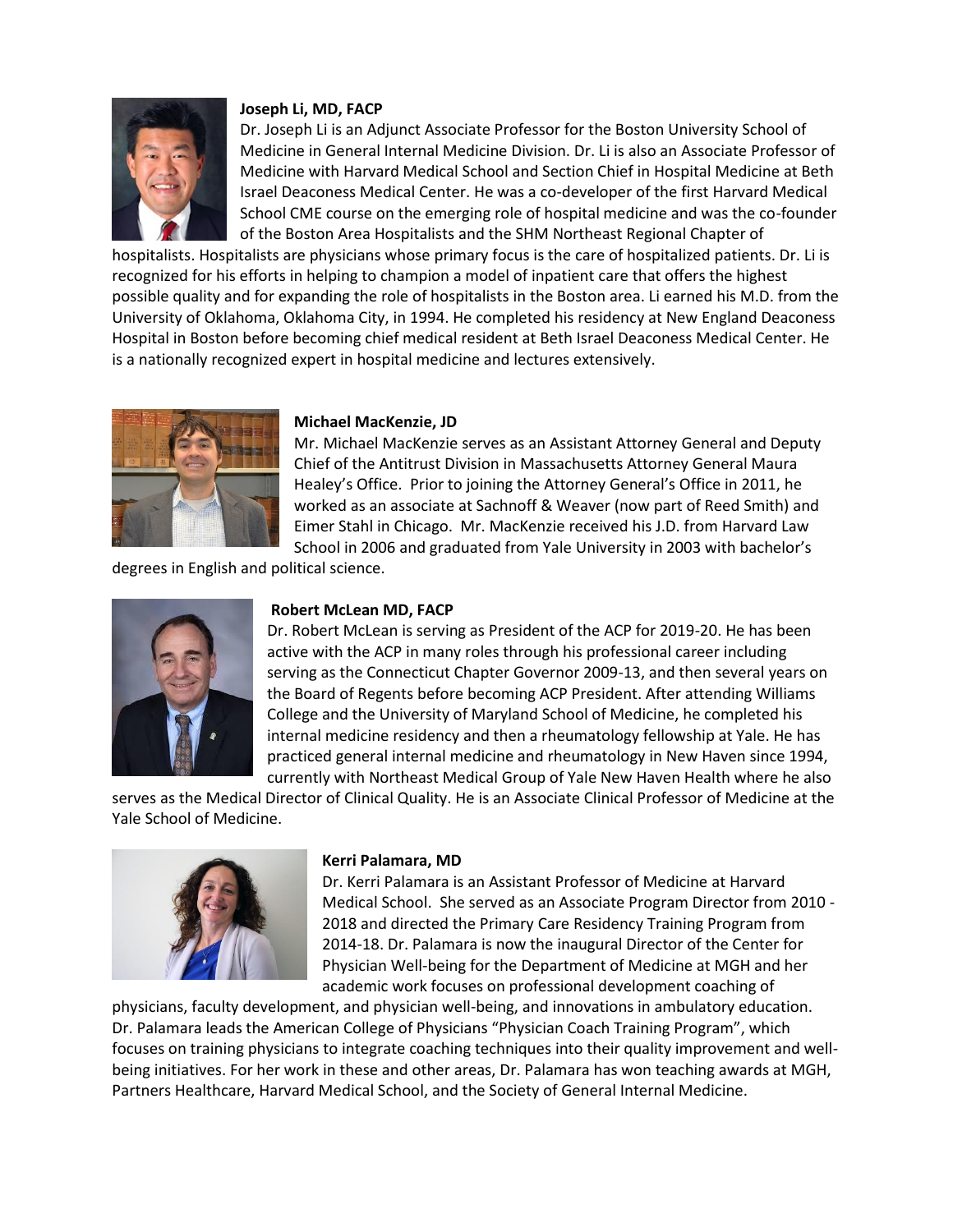

# **Joseph Li, MD, FACP**

Dr. Joseph Li is an Adjunct Associate Professor for the Boston University School of Medicine in General Internal Medicine Division. Dr. Li is also an Associate Professor of Medicine with Harvard Medical School and Section Chief in Hospital Medicine at Beth Israel Deaconess Medical Center. He was a co-developer of the first Harvard Medical School CME course on the emerging role of hospital medicine and was the co-founder of the Boston Area Hospitalists and the SHM Northeast Regional Chapter of

hospitalists. Hospitalists are physicians whose primary focus is the care of hospitalized patients. Dr. Li is recognized for his efforts in helping to champion a model of inpatient care that offers the highest possible quality and for expanding the role of hospitalists in the Boston area. Li earned his M.D. from the University of Oklahoma, Oklahoma City, in 1994. He completed his residency at New England Deaconess Hospital in Boston before becoming chief medical resident at Beth Israel Deaconess Medical Center. He is a nationally recognized expert in hospital medicine and lectures extensively.



## **Michael MacKenzie, JD**

Mr. Michael MacKenzie serves as an Assistant Attorney General and Deputy Chief of the Antitrust Division in Massachusetts Attorney General Maura Healey's Office. Prior to joining the Attorney General's Office in 2011, he worked as an associate at Sachnoff & Weaver (now part of Reed Smith) and Eimer Stahl in Chicago. Mr. MacKenzie received his J.D. from Harvard Law School in 2006 and graduated from Yale University in 2003 with bachelor's

degrees in English and political science.



## **Robert McLean MD, FACP**

Dr. Robert McLean is serving as President of the ACP for 2019-20. He has been active with the ACP in many roles through his professional career including serving as the Connecticut Chapter Governor 2009-13, and then several years on the Board of Regents before becoming ACP President. After attending Williams College and the University of Maryland School of Medicine, he completed his internal medicine residency and then a rheumatology fellowship at Yale. He has practiced general internal medicine and rheumatology in New Haven since 1994, currently with Northeast Medical Group of Yale New Haven Health where he also

serves as the Medical Director of Clinical Quality. He is an Associate Clinical Professor of Medicine at the Yale School of Medicine.



#### **Kerri Palamara, MD**

Dr. Kerri Palamara is an Assistant Professor of Medicine at Harvard Medical School. She served as an Associate Program Director from 2010 - 2018 and directed the Primary Care Residency Training Program from 2014-18. Dr. Palamara is now the inaugural Director of the Center for Physician Well-being for the Department of Medicine at MGH and her academic work focuses on professional development coaching of

physicians, faculty development, and physician well-being, and innovations in ambulatory education. Dr. Palamara leads the American College of Physicians "Physician Coach Training Program", which focuses on training physicians to integrate coaching techniques into their quality improvement and wellbeing initiatives. For her work in these and other areas, Dr. Palamara has won teaching awards at MGH, Partners Healthcare, Harvard Medical School, and the Society of General Internal Medicine.